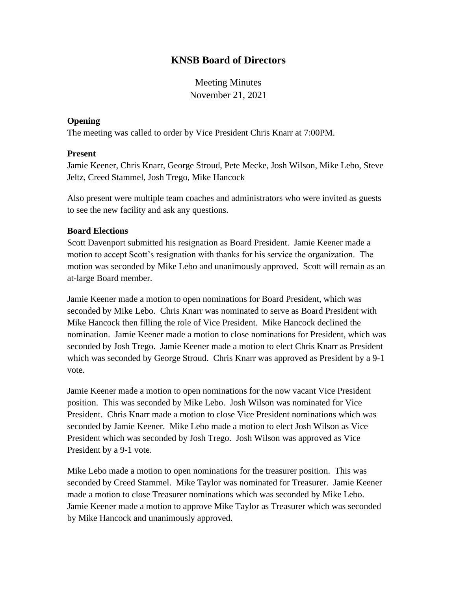# **KNSB Board of Directors**

Meeting Minutes November 21, 2021

#### **Opening**

The meeting was called to order by Vice President Chris Knarr at 7:00PM.

#### **Present**

Jamie Keener, Chris Knarr, George Stroud, Pete Mecke, Josh Wilson, Mike Lebo, Steve Jeltz, Creed Stammel, Josh Trego, Mike Hancock

Also present were multiple team coaches and administrators who were invited as guests to see the new facility and ask any questions.

#### **Board Elections**

Scott Davenport submitted his resignation as Board President. Jamie Keener made a motion to accept Scott's resignation with thanks for his service the organization. The motion was seconded by Mike Lebo and unanimously approved. Scott will remain as an at-large Board member.

Jamie Keener made a motion to open nominations for Board President, which was seconded by Mike Lebo. Chris Knarr was nominated to serve as Board President with Mike Hancock then filling the role of Vice President. Mike Hancock declined the nomination. Jamie Keener made a motion to close nominations for President, which was seconded by Josh Trego. Jamie Keener made a motion to elect Chris Knarr as President which was seconded by George Stroud. Chris Knarr was approved as President by a 9-1 vote.

Jamie Keener made a motion to open nominations for the now vacant Vice President position. This was seconded by Mike Lebo. Josh Wilson was nominated for Vice President. Chris Knarr made a motion to close Vice President nominations which was seconded by Jamie Keener. Mike Lebo made a motion to elect Josh Wilson as Vice President which was seconded by Josh Trego. Josh Wilson was approved as Vice President by a 9-1 vote.

Mike Lebo made a motion to open nominations for the treasurer position. This was seconded by Creed Stammel. Mike Taylor was nominated for Treasurer. Jamie Keener made a motion to close Treasurer nominations which was seconded by Mike Lebo. Jamie Keener made a motion to approve Mike Taylor as Treasurer which was seconded by Mike Hancock and unanimously approved.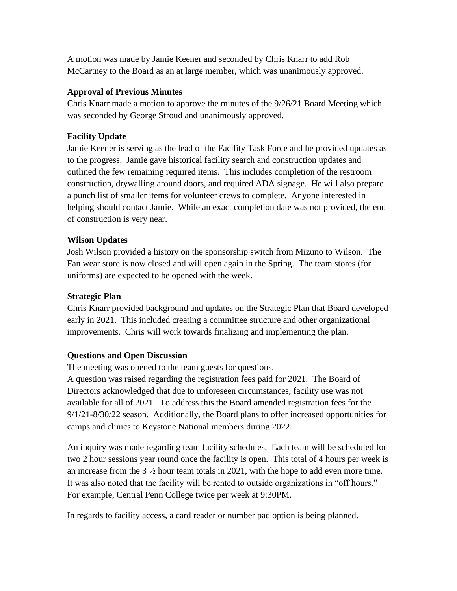A motion was made by Jamie Keener and seconded by Chris Knarr to add Rob McCartney to the Board as an at large member, which was unanimously approved.

### **Approval of Previous Minutes**

Chris Knarr made a motion to approve the minutes of the 9/26/21 Board Meeting which was seconded by George Stroud and unanimously approved.

# **Facility Update**

Jamie Keener is serving as the lead of the Facility Task Force and he provided updates as to the progress. Jamie gave historical facility search and construction updates and outlined the few remaining required items. This includes completion of the restroom construction, drywalling around doors, and required ADA signage. He will also prepare a punch list of smaller items for volunteer crews to complete. Anyone interested in helping should contact Jamie. While an exact completion date was not provided, the end of construction is very near.

## **Wilson Updates**

Josh Wilson provided a history on the sponsorship switch from Mizuno to Wilson. The Fan wear store is now closed and will open again in the Spring. The team stores (for uniforms) are expected to be opened with the week.

### **Strategic Plan**

Chris Knarr provided background and updates on the Strategic Plan that Board developed early in 2021. This included creating a committee structure and other organizational improvements. Chris will work towards finalizing and implementing the plan.

# **Questions and Open Discussion**

The meeting was opened to the team guests for questions.

A question was raised regarding the registration fees paid for 2021. The Board of Directors acknowledged that due to unforeseen circumstances, facility use was not available for all of 2021. To address this the Board amended registration fees for the 9/1/21-8/30/22 season. Additionally, the Board plans to offer increased opportunities for camps and clinics to Keystone National members during 2022.

An inquiry was made regarding team facility schedules. Each team will be scheduled for two 2 hour sessions year round once the facility is open. This total of 4 hours per week is an increase from the 3 ½ hour team totals in 2021, with the hope to add even more time. It was also noted that the facility will be rented to outside organizations in "off hours." For example, Central Penn College twice per week at 9:30PM.

In regards to facility access, a card reader or number pad option is being planned.